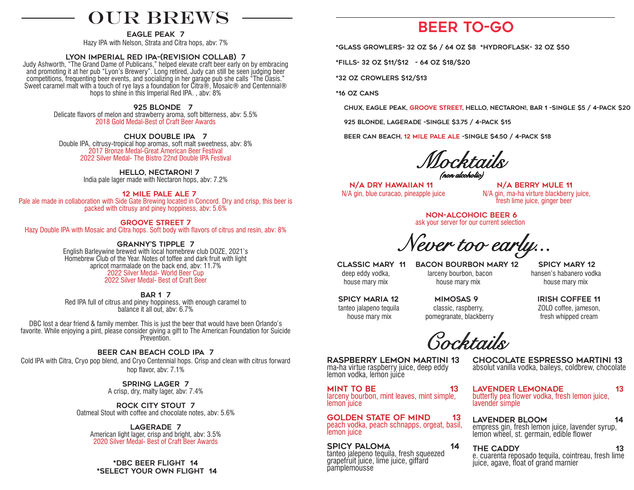# OUR BREWS

eagle peak 7

Hazy IPA with Nelson, Strata and Citra hops, abv: 7%

#### lyon imperial red ipa-(revision collab) 7

Judy Ashworth, "The Grand Dame of Publicans," helped elevate craft beer early on by embracing and promoting it at her pub "Lyon's Brewery". Long retired, Judy can still be seen judging beer competitions, frequenting beer events, and socializing in her garage pub she calls "The Oasis." Sweet caramel malt with a touch of rye lays a foundation for Citra®, Mosaic® and Centennial® hops to shine in this Imperial Red IPA. , abv: 8%

#### 925 Blonde 7

Delicate flavors of melon and strawberry aroma, soft bitterness, abv: 5.5% 2018 Gold Medal-Best of Craft Beer Awards

 chux DOuBLE IPA 7 Double IPA, citrusy-tropical hop aromas, soft malt sweetness, abv: 8% 2017 Bronze Medal-Great American Beer Festival 2022 Silver Medal- The Bistro 22nd Double IPA Festival

hello, nectaron! 7

India pale lager made with Nectaron hops, abv: 7.2%

#### 12 mile pale ale 7

Pale ale made in collaboration with Side Gate Brewing located in Concord. Dry and crisp, this beer is packed with citrusy and piney hoppiness, abv: 5.6%

#### groove street 7

Hazy Double IPA with Mosaic and Citra hops. Soft body with flavors of citrus and resin, abv: 8%

## granny's tipple 7

English Barleywine brewed with local homebrew club DOZE, 2021's Homebrew Club of the Year. Notes of toffee and dark fruit with light apricot marmalade on the back end, abv: 11.7% 2022 Silver Medal- World Beer Cup 2022 Silver Medal- Best of Craft Beer

#### bar 1 7

Red IPA full of citrus and piney hoppiness, with enough caramel to balance it all out, abv: 6.7%

DBC lost a dear friend & family member. This is just the beer that would have been Orlando's favorite. While enjoying a pint, please consider giving a gift to The American Foundation for Suicide Prevention.

## beer can beach cold ipa 7

Cold IPA with Citra, Cryo pop blend, and Cryo Centennial hops. Crisp and clean with citrus forward hop flavor, abv: 7.1%

> SPRING LAGER 7 A crisp, dry, malty lager, abv: 7.4%

Rock City stout 7 Oatmeal Stout with coffee and chocolate notes, abv: 5.6%

lagerade 7 American light lager, crisp and bright, abv: 3.5% 2020 Silver Medal- Best of Craft Beer Awards

\*dbc Beer Flight 14 \*select your own flight 14

# Beer To-Go

\*glass Growlers- 32 oz \$6 / 64 oz \$8 \*hydroflask- 32 oz \$50

\*fills- 32 oz \$11/\$12 - 64 oz \$18/\$20

\*32 oz Crowlers \$12/\$13

\*16 oz cans

chux, eagle peak, groove street, Hello, nectaron!, bar 1 -single \$5 / 4-pack \$20

925 blonde, lagerade -single \$3.75 / 4-pack \$15

beer can beach, 12 mile pale ale -single \$4.50 / 4-pack \$18

 *Mocktails (non alcoholic)*

N/A DRY HAWAIIAN 11 N/A BERRY MULE 11

 $N/A$  gin, blue curacao, pineapple juice  $N/A$  gin, ma-ha virture blackberry juice, fresh lime juice, ginger beer

 non-alcohoic beer 6 ask your server for our current selection

*Never too early...*

 Classic mary 11 Bacon bourbon mary 12 spicy mary 12 deep eddy vodka, larceny bourbon, bacon hansen's habanero vodka house mary mix house mary mix house mary mix

 spicy maria 12 mimosas 9 irish coffee 11 tanteo jalapeno tequila classic, raspberry, ZOLO coffee, jameson, house mary mix pomegranate, blackberry fresh whipped cream

*Cocktails* 

raspberry lemon martini 13 ma-ha virtue raspberry juice, deep eddy lemon vodka, lemon juice

mint to be 13 larceny bourbon, mint leaves, mint simple, lemon juice

GOLDEN STATE OF MIND 13 peach vodka, peach schnapps, orgeat, basil, lemon *juice* 

spicy paloma 14 tanteo jalepeno tequila, fresh squeezed grapefruit juice, lime juice, giffard *pamplemousse* 

chocolate espresso martini 13 absolut vanilla vodka, baileys, coldbrew, chocolate

lavender lemonade 13 butterfly pea flower vodka, fresh lemon juice, lavender simple

lavender bloom 14 empress gin, fresh lemon juice, lavender syrup, lemon wheel, st. germain, edible flower

THE CADDY 13 e. cuarenta reposado tequila, cointreau, fresh lime juice, agave, float of grand marnier